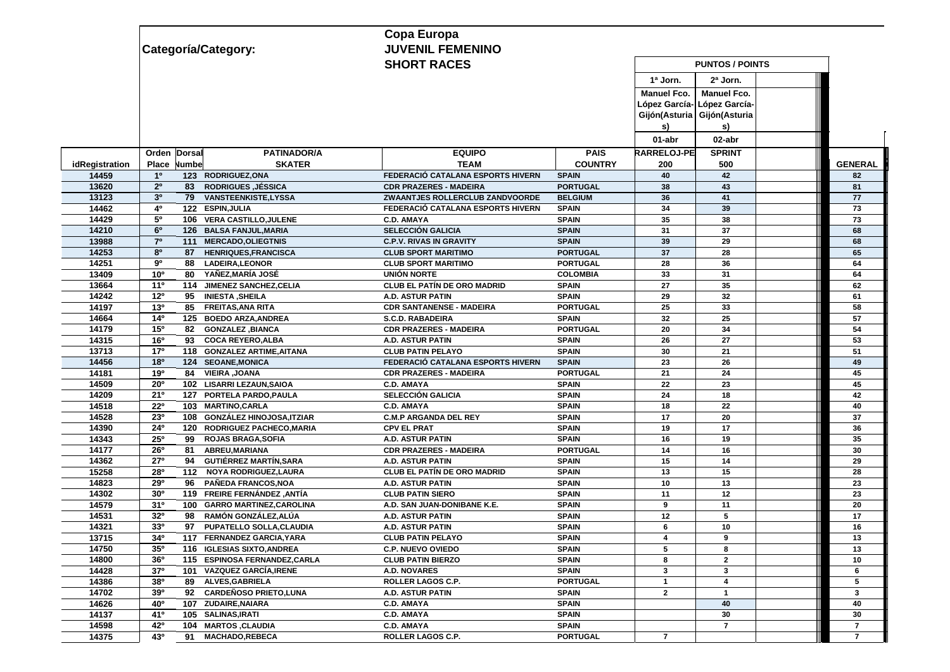|                |                                                           | Copa Europa                        |                 |                             |                             |  |                |  |  |
|----------------|-----------------------------------------------------------|------------------------------------|-----------------|-----------------------------|-----------------------------|--|----------------|--|--|
|                | Categoría/Category:                                       | <b>JUVENIL FEMENINO</b>            |                 |                             |                             |  |                |  |  |
|                |                                                           | <b>SHORT RACES</b>                 |                 | <b>PUNTOS / POINTS</b>      |                             |  |                |  |  |
|                |                                                           |                                    |                 | 1ª Jorn.                    | $2a$ Jorn.                  |  |                |  |  |
|                |                                                           |                                    |                 | <b>Manuel Fco.</b>          | <b>Manuel Fco.</b>          |  |                |  |  |
|                |                                                           |                                    |                 |                             | López García- López García- |  |                |  |  |
|                |                                                           |                                    |                 | Gijón(Asturia Gijón(Asturia |                             |  |                |  |  |
|                |                                                           |                                    |                 | s)                          | s)                          |  |                |  |  |
|                |                                                           |                                    | 01-abr          | 02-abr                      |                             |  |                |  |  |
|                | <b>PATINADOR/A</b><br>Orden Dorsal                        | <b>EQUIPO</b>                      | <b>PAIS</b>     | <b>RARRELOJ-PE</b>          | <b>SPRINT</b>               |  |                |  |  |
| idRegistration | <b>SKATER</b><br>Numbe<br>Place                           | <b>TEAM</b>                        | <b>COUNTRY</b>  | 200                         | 500                         |  | <b>GENERAL</b> |  |  |
| 14459          | 1 <sup>0</sup><br>123 RODRIGUEZ.ONA                       | FEDERACIÓ CATALANA ESPORTS HIVERN  | <b>SPAIN</b>    | 40                          | 42                          |  | 82             |  |  |
| 13620          | 2 <sup>o</sup><br><b>83 RODRIGUES, JÉSSICA</b>            | <b>CDR PRAZERES - MADEIRA</b>      | <b>PORTUGAL</b> | 38                          | 43                          |  | 81             |  |  |
| 13123          | 3 <sup>0</sup><br><b>VANSTEENKISTE,LYSSA</b><br>79        | ZWAANTJES ROLLERCLUB ZANDVOORDE    | <b>BELGIUM</b>  | 36                          | 41                          |  | 77             |  |  |
| 14462          | 4°<br>122 ESPIN, JULIA                                    | FEDERACIÓ CATALANA ESPORTS HIVERN  | <b>SPAIN</b>    | 34                          | 39                          |  | 73             |  |  |
| 14429          | 50<br>106 VERA CASTILLO, JULENE                           | <b>C.D. AMAYA</b>                  | <b>SPAIN</b>    | 35                          | 38                          |  | 73             |  |  |
| 14210          | 6 <sup>o</sup><br>126 BALSA FANJUL, MARIA                 | <b>SELECCIÓN GALICIA</b>           | <b>SPAIN</b>    | 31                          | 37                          |  | 68             |  |  |
| 13988          | $7^\circ$<br>111<br><b>MERCADO, OLIEGTNIS</b>             | <b>C.P.V. RIVAS IN GRAVITY</b>     | <b>SPAIN</b>    | 39                          | 29                          |  | 68             |  |  |
| 14253          | 80<br>87<br><b>HENRIQUES, FRANCISCA</b>                   | <b>CLUB SPORT MARITIMO</b>         | <b>PORTUGAL</b> | 37                          | 28                          |  | 65             |  |  |
| 14251          | 90<br>88<br><b>LADEIRA, LEONOR</b>                        | <b>CLUB SPORT MARITIMO</b>         | <b>PORTUGAL</b> | 28                          | 36                          |  | 64             |  |  |
| 13409          | 10 <sup>o</sup><br>80<br>YAÑEZ, MARÍA JOSÉ                | UNIÓN NORTE                        | <b>COLOMBIA</b> | 33                          | 31                          |  | 64             |  |  |
| 13664          | $11^{\circ}$<br>JIMENEZ SANCHEZ, CELIA<br>114             | <b>CLUB EL PATÍN DE ORO MADRID</b> | <b>SPAIN</b>    | 27                          | 35                          |  | 62             |  |  |
| 14242          | 12 <sup>o</sup><br><b>INIESTA, SHEILA</b><br>95           | A.D. ASTUR PATIN                   | <b>SPAIN</b>    | 29                          | 32                          |  | 61             |  |  |
| 14197          | $13^{o}$<br>85 FREITAS, ANA RITA                          | <b>CDR SANTANENSE - MADEIRA</b>    | <b>PORTUGAL</b> | 25                          | 33                          |  | 58             |  |  |
| 14664          | 14 <sup>0</sup><br>125 BOEDO ARZA, ANDREA                 | S.C.D. RABADEIRA                   | <b>SPAIN</b>    | 32                          | 25                          |  | 57             |  |  |
| 14179          | 15°<br>82<br><b>GONZALEZ, BIANCA</b>                      | <b>CDR PRAZERES - MADEIRA</b>      | <b>PORTUGAL</b> | 20                          | 34                          |  | 54             |  |  |
| 14315          | 16 <sup>o</sup><br><b>COCA REYERO, ALBA</b><br>93         | A.D. ASTUR PATIN                   | <b>SPAIN</b>    | 26                          | 27                          |  | 53             |  |  |
| 13713          | 17 <sup>0</sup><br>118 GONZALEZ ARTIME, AITANA            | <b>CLUB PATIN PELAYO</b>           | <b>SPAIN</b>    | 30                          | 21                          |  | 51             |  |  |
| 14456          | 18 <sup>0</sup><br>124 SEOANE, MONICA                     | FEDERACIÓ CATALANA ESPORTS HIVERN  | <b>SPAIN</b>    | 23                          | 26                          |  | 49             |  |  |
| 14181          | 19°<br><b>VIEIRA, JOANA</b><br>84                         | <b>CDR PRAZERES - MADEIRA</b>      | <b>PORTUGAL</b> | 21                          | 24                          |  | 45             |  |  |
| 14509          | <b>20°</b><br>102 LISARRI LEZAUN, SAIOA                   | <b>C.D. AMAYA</b>                  | <b>SPAIN</b>    | 22                          | 23                          |  | 45             |  |  |
| 14209          | 21°<br>127 PORTELA PARDO, PAULA                           | SELECCIÓN GALICIA                  | <b>SPAIN</b>    | 24                          | 18                          |  | 42             |  |  |
| 14518          | 22°<br>103 MARTINO, CARLA                                 | <b>C.D. AMAYA</b>                  | <b>SPAIN</b>    | 18                          | 22                          |  | 40             |  |  |
| 14528          | 23°<br>108 GONZÁLEZ HINOJOSA, ITZIAR                      | <b>C.M.P ARGANDA DEL REY</b>       | <b>SPAIN</b>    | 17                          | 20                          |  | 37             |  |  |
| 14390          | 24°<br>120 RODRIGUEZ PACHECO, MARIA                       | <b>CPV EL PRAT</b>                 | <b>SPAIN</b>    | 19                          | 17                          |  | 36             |  |  |
| 14343          | 25°<br><b>ROJAS BRAGA, SOFIA</b><br>99                    | A.D. ASTUR PATIN                   | <b>SPAIN</b>    | 16                          | 19                          |  | 35             |  |  |
| 14177          | 26 <sup>o</sup><br>ABREU, MARIANA<br>81                   | <b>CDR PRAZERES - MADEIRA</b>      | <b>PORTUGAL</b> | 14                          | 16                          |  | 30             |  |  |
| 14362          | 27°<br><b>GUTIÉRREZ MARTÍN, SARA</b><br>94                | A.D. ASTUR PATIN                   | <b>SPAIN</b>    | 15                          | 14                          |  | 29             |  |  |
| 15258          | 28°<br><b>NOYA RODRIGUEZ, LAURA</b><br>112                | <b>CLUB EL PATÍN DE ORO MADRID</b> | <b>SPAIN</b>    | 13                          | 15                          |  | 28             |  |  |
| 14823          | 29°<br>PAÑEDA FRANCOS, NOA<br>96                          | A.D. ASTUR PATIN                   | <b>SPAIN</b>    | 10                          | 13                          |  | 23             |  |  |
| 14302          | 30 <sup>o</sup><br>119 FREIRE FERNÁNDEZ, ANTÍA            | <b>CLUB PATIN SIERO</b>            | <b>SPAIN</b>    | 11                          | 12                          |  | 23             |  |  |
| 14579          | 31 <sup>0</sup><br><b>GARRO MARTINEZ, CAROLINA</b><br>100 | A.D. SAN JUAN-DONIBANE K.E.        | <b>SPAIN</b>    | 9                           | 11                          |  | 20             |  |  |
| 14531          | 32 <sup>0</sup><br>RAMÓN GONZÁLEZ, ALÚA<br>98             | A.D. ASTUR PATIN                   | <b>SPAIN</b>    | 12                          | 5                           |  | 17             |  |  |
| 14321          | 330<br>97<br>PUPATELLO SOLLA, CLAUDIA                     | A.D. ASTUR PATIN                   | <b>SPAIN</b>    | 6                           | 10                          |  | 16             |  |  |
| 13715          | $34^{\circ}$<br>117 FERNANDEZ GARCIA, YARA                | <b>CLUB PATIN PELAYO</b>           | <b>SPAIN</b>    | 4                           | 9                           |  | 13             |  |  |
| 14750          | 35 <sup>o</sup><br>116 IGLESIAS SIXTO, ANDREA             | <b>C.P. NUEVO OVIEDO</b>           | <b>SPAIN</b>    | 5                           | 8                           |  | 13             |  |  |
| 14800          | 36 <sup>o</sup><br>115 ESPINOSA FERNANDEZ, CARLA          | <b>CLUB PATIN BIERZO</b>           | <b>SPAIN</b>    | 8                           | $\mathbf{2}$                |  | 10             |  |  |
| 14428          | 37 <sup>o</sup><br>101 VAZQUEZ GARCÍA, IRENE              | A.D. NOVARES                       | <b>SPAIN</b>    | 3                           | 3                           |  | 6              |  |  |
| 14386          | 380<br>89 ALVES, GABRIELA                                 | ROLLER LAGOS C.P.                  | <b>PORTUGAL</b> | $\mathbf{1}$                | 4                           |  | 5              |  |  |
| 14702          | 390<br>92 CARDEÑOSO PRIETO, LUNA                          | A.D. ASTUR PATIN                   | <b>SPAIN</b>    | $\mathbf{2}$                | $\mathbf{1}$                |  | $\mathbf{3}$   |  |  |
| 14626          | 40 <sup>o</sup><br>107 ZUDAIRE, NAIARA                    | <b>C.D. AMAYA</b>                  | <b>SPAIN</b>    |                             | 40                          |  | 40             |  |  |
| 14137          | 410<br>105 SALINAS, IRATI                                 | <b>C.D. AMAYA</b>                  | <b>SPAIN</b>    |                             | 30                          |  | 30             |  |  |
| 14598          | 42°<br>104 MARTOS, CLAUDIA                                | <b>C.D. AMAYA</b>                  | <b>SPAIN</b>    |                             | $\overline{\phantom{a}}$    |  | $\overline{7}$ |  |  |
| 14375          | 43°<br><b>MACHADO,REBECA</b><br>91                        | ROLLER LAGOS C.P.                  | <b>PORTUGAL</b> | $\overline{7}$              |                             |  | $\overline{7}$ |  |  |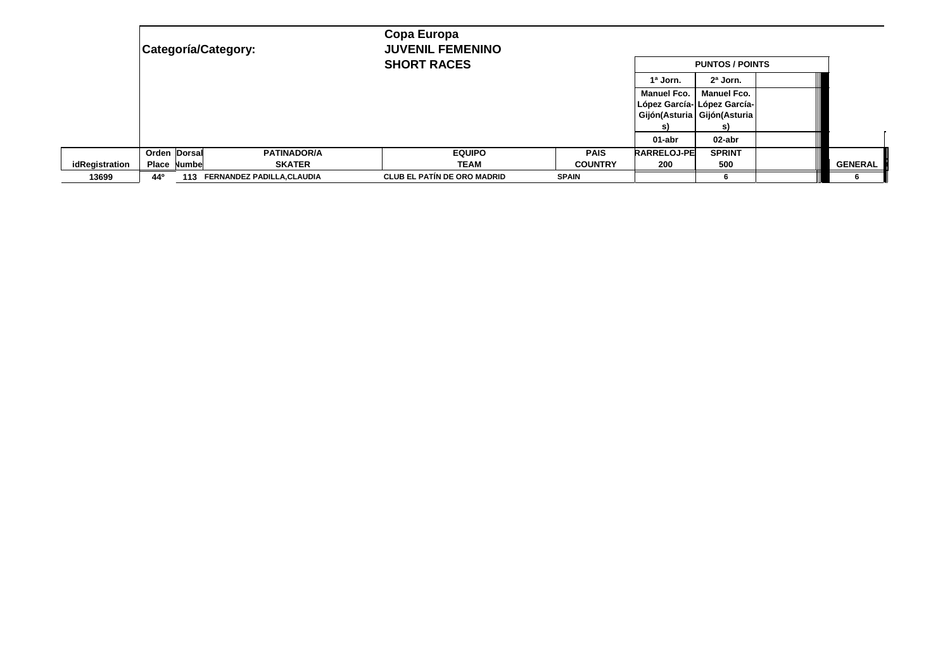|                | Categoría/Category: |        |                                   | Copa Europa<br><b>JUVENIL FEMENINO</b> |  |                |                                                                                        |                          |  |                |  |
|----------------|---------------------|--------|-----------------------------------|----------------------------------------|--|----------------|----------------------------------------------------------------------------------------|--------------------------|--|----------------|--|
|                |                     |        |                                   | <b>SHORT RACES</b>                     |  |                | <b>PUNTOS / POINTS</b>                                                                 |                          |  |                |  |
|                |                     |        |                                   |                                        |  |                | 1ª Jorn.                                                                               | $2a$ Jorn.               |  |                |  |
|                |                     |        |                                   |                                        |  |                | <b>Manuel Fco.</b><br>López García- López García-<br>Gijón(Asturia Gijón(Asturia<br>S) | <b>Manuel Fco.</b><br>S) |  |                |  |
|                |                     |        |                                   |                                        |  |                | 01-abr                                                                                 | 02-abr                   |  |                |  |
|                | Orden Dorsal        |        | <b>PATINADOR/A</b>                | <b>EQUIPO</b>                          |  | <b>PAIS</b>    | <b>RARRELOJ-PE</b>                                                                     | <b>SPRINT</b>            |  |                |  |
| idRegistration | Place               | Numbel | <b>SKATER</b>                     | <b>TEAM</b>                            |  | <b>COUNTRY</b> | 200                                                                                    | 500                      |  | <b>GENERAL</b> |  |
| 13699          | 44°                 | 113    | <b>FERNANDEZ PADILLA, CLAUDIA</b> | <b>CLUB EL PATÍN DE ORO MADRID</b>     |  | <b>SPAIN</b>   |                                                                                        |                          |  |                |  |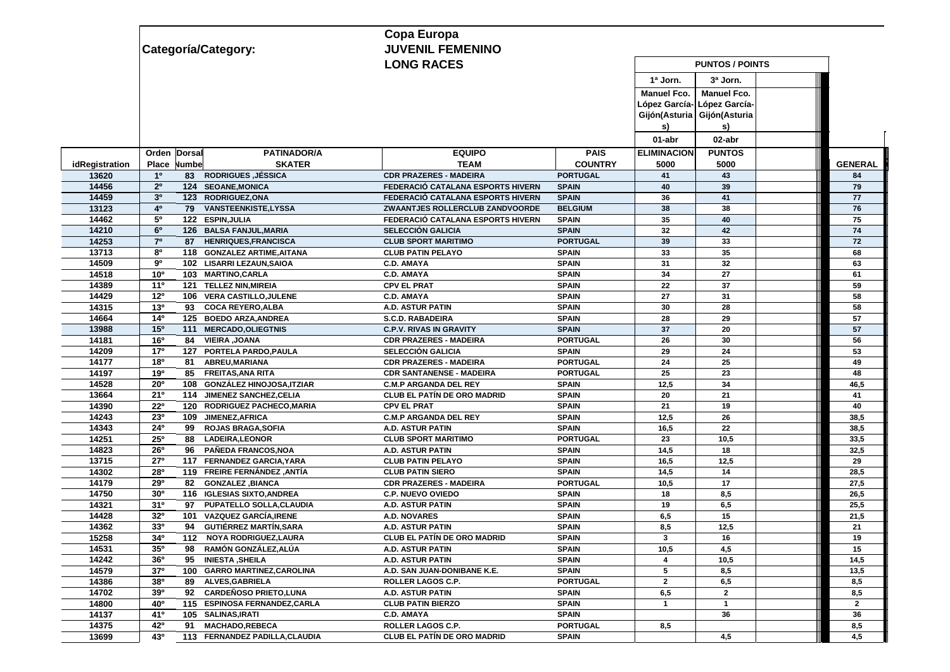|                |                                                        | Copa Europa                        |                        |                             |                             |  |                |  |  |
|----------------|--------------------------------------------------------|------------------------------------|------------------------|-----------------------------|-----------------------------|--|----------------|--|--|
|                | Categoría/Category:                                    | <b>JUVENIL FEMENINO</b>            |                        |                             |                             |  |                |  |  |
|                |                                                        | <b>LONG RACES</b>                  | <b>PUNTOS / POINTS</b> |                             |                             |  |                |  |  |
|                |                                                        |                                    |                        | 1ª Jorn.                    | 3ª Jorn.                    |  |                |  |  |
|                |                                                        |                                    |                        | <b>Manuel Fco.</b>          | <b>Manuel Fco.</b>          |  |                |  |  |
|                |                                                        |                                    |                        |                             | López García- López García- |  |                |  |  |
|                |                                                        |                                    |                        | Gijón(Asturia Gijón(Asturia |                             |  |                |  |  |
|                |                                                        |                                    |                        | S)                          | s)                          |  |                |  |  |
|                |                                                        |                                    |                        | 01-abr                      | 02-abr                      |  |                |  |  |
|                | <b>PATINADOR/A</b><br>Orden Dorsal                     | <b>EQUIPO</b>                      | <b>PAIS</b>            | <b>ELIMINACION</b>          | <b>PUNTOS</b>               |  |                |  |  |
| idRegistration | <b>SKATER</b><br>Numbe<br>Place                        | <b>TEAM</b>                        | <b>COUNTRY</b>         | 5000                        | 5000                        |  | <b>GENERAL</b> |  |  |
| 13620          | <b>83 RODRIGUES, JÉSSICA</b><br>1 <sup>0</sup>         | <b>CDR PRAZERES - MADEIRA</b>      | <b>PORTUGAL</b>        | 41                          | 43                          |  | 84             |  |  |
| 14456          | 2 <sup>o</sup><br>124 SEOANE, MONICA                   | FEDERACIÓ CATALANA ESPORTS HIVERN  | <b>SPAIN</b>           | 40                          | 39                          |  | 79             |  |  |
| 14459          | 3 <sup>0</sup><br>123 RODRIGUEZ, ONA                   | FEDERACIÓ CATALANA ESPORTS HIVERN  | <b>SPAIN</b>           | 36                          | 41                          |  | 77             |  |  |
| 13123          | 4 <sup>0</sup><br>79 VANSTEENKISTE, LYSSA              | ZWAANTJES ROLLERCLUB ZANDVOORDE    | <b>BELGIUM</b>         | 38                          | 38                          |  | 76             |  |  |
| 14462          | 50<br>122 ESPIN, JULIA                                 | FEDERACIÓ CATALANA ESPORTS HIVERN  | <b>SPAIN</b>           | 35                          | 40                          |  | 75             |  |  |
| 14210          | 6 <sup>o</sup><br>126 BALSA FANJUL, MARIA              | <b>SELECCIÓN GALICIA</b>           | <b>SPAIN</b>           | 32                          | 42                          |  | 74             |  |  |
| 14253          | 7 <sup>o</sup><br>87 HENRIQUES, FRANCISCA              | <b>CLUB SPORT MARITIMO</b>         | <b>PORTUGAL</b>        | 39                          | 33                          |  | 72             |  |  |
| 13713          | 80<br>118 GONZALEZ ARTIME, AITANA                      | <b>CLUB PATIN PELAYO</b>           | <b>SPAIN</b>           | 33                          | 35                          |  | 68             |  |  |
| 14509          | 90<br>102 LISARRI LEZAUN, SAIOA                        | <b>C.D. AMAYA</b>                  | <b>SPAIN</b>           | 31                          | 32                          |  | 63             |  |  |
| 14518          | 10 <sup>o</sup><br>103 MARTINO, CARLA                  | <b>C.D. AMAYA</b>                  | <b>SPAIN</b>           | 34                          | 27                          |  | 61             |  |  |
| 14389          | $11^{\circ}$<br><b>TELLEZ NIN, MIREIA</b><br>121       | <b>CPV EL PRAT</b>                 | <b>SPAIN</b>           | 22                          | 37                          |  | 59             |  |  |
| 14429          | 12 <sup>o</sup><br>106 VERA CASTILLO, JULENE           | <b>C.D. AMAYA</b>                  | <b>SPAIN</b>           | 27                          | 31                          |  | 58             |  |  |
| 14315          | 13 <sup>0</sup><br>93 COCA REYERO, ALBA                | A.D. ASTUR PATIN                   | <b>SPAIN</b>           | 30                          | 28                          |  | 58             |  |  |
| 14664          | 14 <sup>0</sup><br>125 BOEDO ARZA, ANDREA              | <b>S.C.D. RABADEIRA</b>            | <b>SPAIN</b>           | 28                          | 29                          |  | 57             |  |  |
| 13988          | 15°<br><b>MERCADO, OLIEGTNIS</b><br>111                | <b>C.P.V. RIVAS IN GRAVITY</b>     | <b>SPAIN</b>           | 37                          | 20                          |  | 57             |  |  |
| 14181          | 16°<br><b>VIEIRA, JOANA</b><br>84                      | <b>CDR PRAZERES - MADEIRA</b>      | <b>PORTUGAL</b>        | 26                          | 30                          |  | 56             |  |  |
| 14209          | 17 <sup>o</sup><br>127 PORTELA PARDO, PAULA            | <b>SELECCIÓN GALICIA</b>           | <b>SPAIN</b>           | 29                          | 24                          |  | 53             |  |  |
| 14177          | 18 <sup>o</sup><br>ABREU, MARIANA<br>81                | <b>CDR PRAZERES - MADEIRA</b>      | <b>PORTUGAL</b>        | 24                          | 25                          |  | 49             |  |  |
| 14197          | 19°<br>85 FREITAS, ANA RITA                            | <b>CDR SANTANENSE - MADEIRA</b>    | <b>PORTUGAL</b>        | 25                          | 23                          |  | 48             |  |  |
| 14528          | <b>20°</b><br>108 GONZÁLEZ HINOJOSA, ITZIAR            | <b>C.M.P ARGANDA DEL REY</b>       | <b>SPAIN</b>           | 12,5                        | 34                          |  | 46,5           |  |  |
| 13664          | 21°<br>114 JIMENEZ SANCHEZ, CELIA                      | <b>CLUB EL PATÍN DE ORO MADRID</b> | <b>SPAIN</b>           | 20                          | 21                          |  | 41             |  |  |
| 14390          | 22°<br>120 RODRIGUEZ PACHECO, MARIA                    | <b>CPV EL PRAT</b>                 | <b>SPAIN</b>           | 21                          | 19                          |  | 40             |  |  |
| 14243          | 23°<br>109 JIMENEZ, AFRICA                             | <b>C.M.P ARGANDA DEL REY</b>       | <b>SPAIN</b>           | 12,5                        | 26                          |  | 38,5           |  |  |
| 14343          | 24°<br>99<br><b>ROJAS BRAGA, SOFIA</b>                 | A.D. ASTUR PATIN                   | <b>SPAIN</b>           | 16,5                        | 22                          |  | 38,5           |  |  |
| 14251          | 25°<br>88<br><b>LADEIRA, LEONOR</b>                    | <b>CLUB SPORT MARITIMO</b>         | <b>PORTUGAL</b>        | 23                          | 10,5                        |  | 33,5           |  |  |
| 14823          | 26°<br>96 PAÑEDA FRANCOS, NOA                          | <b>A.D. ASTUR PATIN</b>            | <b>SPAIN</b>           | 14,5                        | 18                          |  | 32,5           |  |  |
| 13715          | 27°<br>117 FERNANDEZ GARCIA, YARA                      | <b>CLUB PATIN PELAYO</b>           | <b>SPAIN</b>           | 16,5                        | 12,5                        |  | 29             |  |  |
| 14302          | 28°<br>119 FREIRE FERNÁNDEZ ,ANTÍA                     | <b>CLUB PATIN SIERO</b>            | <b>SPAIN</b>           | 14,5                        | 14                          |  | 28,5           |  |  |
| 14179          | 29°<br><b>GONZALEZ, BIANCA</b><br>82                   | <b>CDR PRAZERES - MADEIRA</b>      | <b>PORTUGAL</b>        | 10,5                        | 17                          |  | 27,5           |  |  |
| 14750          | 30 <sup>o</sup><br>116 IGLESIAS SIXTO, ANDREA          | <b>C.P. NUEVO OVIEDO</b>           | <b>SPAIN</b>           | 18                          | 8,5                         |  | 26,5           |  |  |
| 14321          | 31 <sup>0</sup><br>PUPATELLO SOLLA, CLAUDIA<br>97      | A.D. ASTUR PATIN                   | <b>SPAIN</b>           | 19                          | 6,5                         |  | 25,5           |  |  |
| 14428          | 32 <sup>0</sup><br><b>VAZQUEZ GARCÍA, IRENE</b><br>101 | <b>A.D. NOVARES</b>                | <b>SPAIN</b>           | 6,5                         | 15                          |  | 21,5           |  |  |
| 14362          | 330<br><b>GUTIÉRREZ MARTÍN, SARA</b><br>94             | A.D. ASTUR PATIN                   | <b>SPAIN</b>           | 8,5                         | 12,5                        |  | 21             |  |  |
| 15258          | $34^{\circ}$<br>112 NOYA RODRIGUEZ, LAURA              | <b>CLUB EL PATÍN DE ORO MADRID</b> | <b>SPAIN</b>           | 3                           | 16                          |  | 19             |  |  |
| 14531          | 35 <sup>o</sup><br>RAMÓN GONZÁLEZ,ALÚA<br>98           | A.D. ASTUR PATIN                   | <b>SPAIN</b>           | 10,5                        | 4,5                         |  | 15             |  |  |
| 14242          | 36 <sup>o</sup><br>95 INIESTA, SHEILA                  | A.D. ASTUR PATIN                   | <b>SPAIN</b>           | 4                           | 10,5                        |  | 14,5           |  |  |
| 14579          | 37 <sup>o</sup><br>100 GARRO MARTINEZ, CAROLINA        | A.D. SAN JUAN-DONIBANE K.E.        | <b>SPAIN</b>           | 5                           | 8,5                         |  | 13,5           |  |  |
| 14386          | 380<br>89 ALVES, GABRIELA                              | <b>ROLLER LAGOS C.P.</b>           | <b>PORTUGAL</b>        | $\overline{2}$              | 6,5                         |  | 8,5            |  |  |
| 14702          | 390<br>92 CARDEÑOSO PRIETO, LUNA                       | A.D. ASTUR PATIN                   | <b>SPAIN</b>           | 6,5                         | $\overline{2}$              |  | 8,5            |  |  |
| 14800          | 40 <sup>o</sup><br>115 ESPINOSA FERNANDEZ, CARLA       | <b>CLUB PATIN BIERZO</b>           | <b>SPAIN</b>           | $\mathbf{1}$                | $\mathbf{1}$                |  | $\overline{2}$ |  |  |
| 14137          | 410<br>105 SALINAS, IRATI                              | <b>C.D. AMAYA</b>                  | <b>SPAIN</b>           |                             | 36                          |  | 36             |  |  |
| 14375          | 42°<br><b>MACHADO,REBECA</b><br>91                     | ROLLER LAGOS C.P.                  | <b>PORTUGAL</b>        | 8,5                         |                             |  | 8,5            |  |  |
| 13699          | 43°<br>113 FERNANDEZ PADILLA, CLAUDIA                  | <b>CLUB EL PATÍN DE ORO MADRID</b> | <b>SPAIN</b>           |                             | 4,5                         |  | 4,5            |  |  |
|                |                                                        |                                    |                        |                             |                             |  |                |  |  |